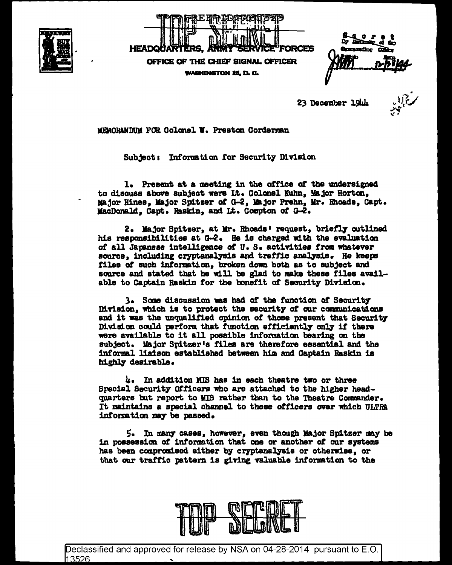



nam ding

23 December 19th

MEMORANDUM FOR Colonel W. Preston Corderman

Subject: Information for Security Division

1. Present at a meeting in the office of the undersigned to discuss above subject were Lt. Colonel Kuhn, Major Horton, Major Hines. Major Spitzer of G-2, Major Prehn, Mr. Rhoads, Capt. MacDonald, Capt. Raskin, and Lt. Compton of G-2.

2. Major Spitzer, at Mr. Rhoads' request, briefly outlined his responsibilities at G-2. He is charged with the evaluation of all Japanese intelligence of U.S. activities from whatever source, including cryptanalysis and traffic analysis. He keeps files of such information, broken down both as to subject and source and stated that he will be glad to make these files available to Captain Raskin for the bonefit of Security Division.

3. Some discussion was had of the function of Security Division, which is to protect the security of our communications and it was the unqualified opinion of those present that Security Division could perform that function efficiently only if there were available to it all possible information bearing on the subject. Major Spitzer's files are therefore essential and the informal liaison established between him and Captain Raskin is highly desirable.

4. In addition MIS has in each theatre two or three Special Security Officers who are attached to the higher headquarters but report to MIS rather than to the Theatre Commander. It maintains a special channel to these officers over which ULTRA information may be passed.

5. In many cases, however, even though Major Spitzer may be in possession of information that one or another of our systems has been compromised either by cryptanalysis or otherwise, or that our traffic pattern is giving valuable information to the



Declassified and approved for release by NSA on 04-28-2014 pursuant to E.O. 13526